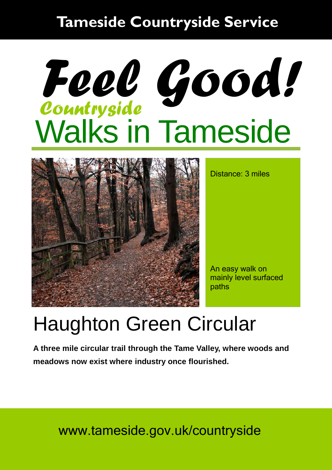### **Tameside Countryside Service**

# Walks in Tameside *Countryside Feel Good!*



Distance: 3 miles

An easy walk on mainly level surfaced paths

## Haughton Green Circular

**A three mile circular trail through the Tame Valley, where woods and meadows now exist where industry once flourished.** 

www.tameside.gov.uk/countryside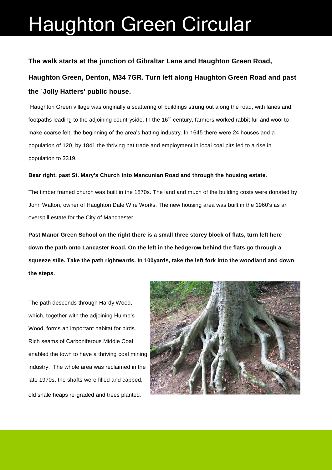### Haughton Green Circular

#### **The walk starts at the junction of Gibraltar Lane and Haughton Green Road,**

**Haughton Green, Denton, M34 7GR. Turn left along Haughton Green Road and past the `Jolly Hatters' public house.** 

 Haughton Green village was originally a scattering of buildings strung out along the road, with lanes and footpaths leading to the adjoining countryside. In the 16<sup>th</sup> century, farmers worked rabbit fur and wool to make coarse felt; the beginning of the area's hatting industry. In 1645 there were 24 houses and a population of 120, by 1841 the thriving hat trade and employment in local coal pits led to a rise in population to 3319.

#### **Bear right, past St. Mary's Church into Mancunian Road and through the housing estate**.

The timber framed church was built in the 1870s. The land and much of the building costs were donated by John Walton, owner of Haughton Dale Wire Works. The new housing area was built in the 1960's as an overspill estate for the City of Manchester.

**Past Manor Green School on the right there is a small three storey block of flats, turn left here down the path onto Lancaster Road. On the left in the hedgerow behind the flats go through a squeeze stile. Take the path rightwards. In 100yards, take the left fork into the woodland and down the steps.**

The path descends through Hardy Wood, which, together with the adjoining Hulme's Wood, forms an important habitat for birds. Rich seams of Carboniferous Middle Coal enabled the town to have a thriving coal mining industry. The whole area was reclaimed in the late 1970s, the shafts were filled and capped, old shale heaps re-graded and trees planted.